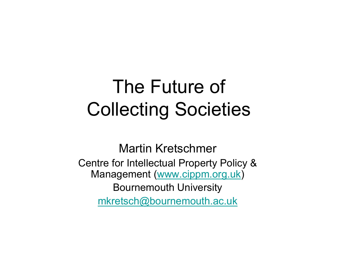# The Future of Collecting Societies

Martin KretschmerCentre for Intellectual Property Policy & Management (<u>www.cippm.org.uk</u>) Bournemouth University mkretsch@bournemouth.ac.uk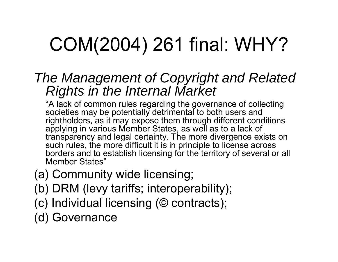# COM(2004) 261 final: WHY?

#### *The Management of Copyright and Related Rights in the Internal Market*

"A lack of common rules regarding the governance of collecting societies may be potentially detrimental to both users and rightholders, as it may expose them through different conditions applying in various Member States, as well as to a lack of transparency and legal certainty. The more divergence exists on such rules, the more difficult it is in principle to license across borders and to establish licensing for the territory of several or all Member States"

- (a) Community wide licensing;
- (b) DRM (levy tariffs; interoperability);
- (c) Individual licensing (© contracts);
- (d) Governance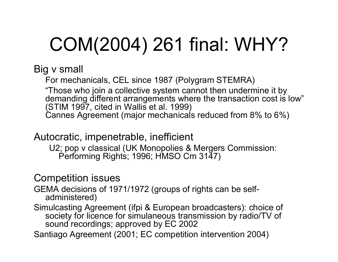# COM(2004) 261 final: WHY?

Big v small

For mechanicals, CEL since 1987 (Polygram STEMRA) "Those who join a collective system cannot then undermine it by demanding different arrangements where the transaction cost is low" (STIM 1997, cited in Wallis et al. 1999) Cannes Agreement (major mechanicals reduced from 8% to 6%)

Autocratic, impenetrable, inefficient

U2; pop v classical (UK Monopolies & Mergers Commission: Performing Rights; 1996; HMSO Cm 3147)

Competition issues

GEMA decisions of 1971/1972 (groups of rights can be selfadministered)

Simulcasting Agreement (ifpi & European broadcasters): choice of society for licence for simulaneous transmission by radio/TV of sound recordings; approved by EC 2002

Santiago Agreement (2001; EC competition intervention 2004)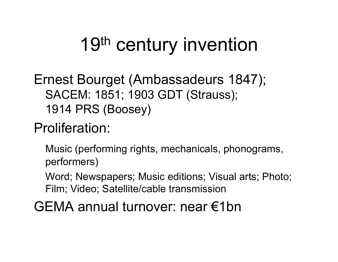# 19<sup>th</sup> century invention

Ernest Bourget (Ambassadeurs 1847); SACEM: 1851; 1903 GDT (Strauss); 1914 PRS (Boosey)

#### Proliferation:

Music (performing rights, mechanicals, phonograms, performers)

Word; Newspapers; Music editions; Visual arts; Photo; Film; Video; Satellite/cable transmission

GEMA annual turnover: near €1bn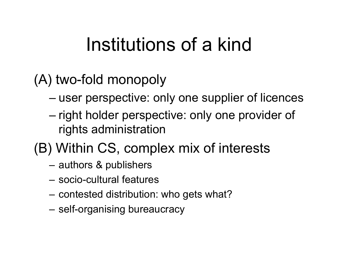# Institutions of a kind

#### (A) two-fold monopoly

- user perspective: only one supplier of licences
- right holder perspective: only one provider of rights administration

#### (B) Within CS, complex mix of interests

- authors & publishers
- socio-cultural features
- contested distribution: who gets what?
- self-organising bureaucracy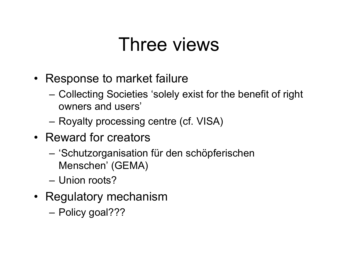### Three views

- Response to market failure
	- Collecting Societies 'solely exist for the benefit of right owners and users'
	- Royalty processing centre (cf. VISA)
- Reward for creators
	- 'Schutzorganisation für den schöpferischen Menschen' (GEMA)
	- Union roots?
- Regulatory mechanism
	- Policy goal???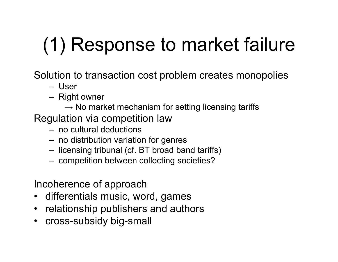# (1) Response to market failure

Solution to transaction cost problem creates monopolies

- User
- Right owner
	- $\rightarrow$  No market mechanism for setting licensing tariffs
- Regulation via competition law
	- no cultural deductions
	- no distribution variation for genres
	- licensing tribunal (cf. BT broad band tariffs)
	- competition between collecting societies?

Incoherence of approach

- differentials music, word, games
- relationship publishers and authors
- cross-subsidy big-small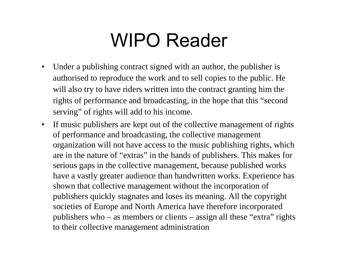## WIPO Reader

- $\bullet$  Under a publishing contract signed with an author, the publisher is authorised to reproduce the work and to sell copies to the public. He will also try to have riders written into the contract granting him the rights of performance and broadcasting, in the hope that this "second serving" of rights will add to his income.
- If music publishers are kept out of the collective management of rights of performance and broadcasting, the collective management organization will not have access to the music publishing rights, which are in the nature of "extras" in the hands of publishers. This makes for serious gaps in the collective management, because published works have a vastly greater audience than handwritten works. Experience has shown that collective management without the incorporation of publishers quickly stagnates and loses its meaning. All the copyright societies of Europe and North America have therefore incorporated publishers who – as members or clients – assign all these "extra" rights to their collective management administration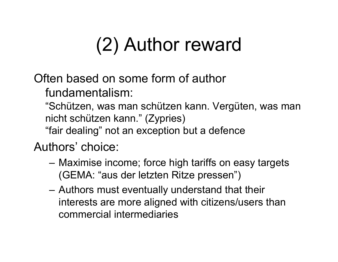# (2) Author reward

Often based on some form of author

fundamentalism:

"Schützen, was man schützen kann. Vergüten, was man nicht schützen kann." (Zypries) "fair dealing" not an exception but a defence

Authors' choice:

- Maximise income; force high tariffs on easy targets (GEMA: "aus der letzten Ritze pressen")
- Authors must eventually understand that their interests are more aligned with citizens/users than commercial intermediaries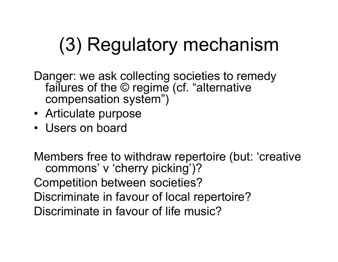# (3) Regulatory mechanism

Danger: we ask collecting societies to remedy failures of the © regime (cf. "alternative compensation system")

- Articulate purpose
- Users on board

Members free to withdraw repertoire (but: 'creative commons' <sup>v</sup>'cherry picking')? Competition between societies? Discriminate in favour of local repertoire? Discriminate in favour of life music?